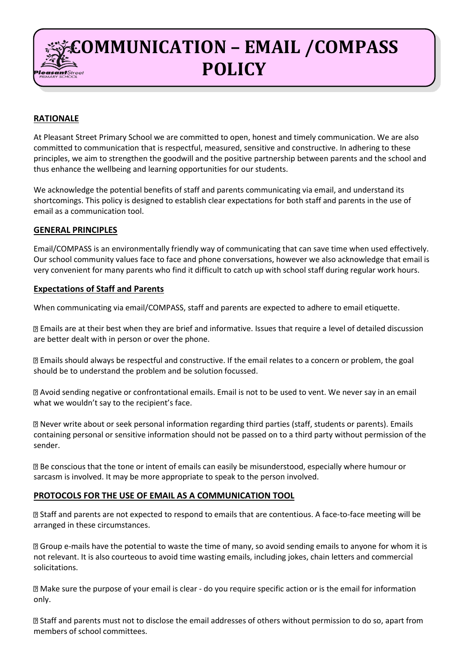# **COMMUNICATION – EMAIL /COMPASS POLICY**

# **RATIONALE**

At Pleasant Street Primary School we are committed to open, honest and timely communication. We are also committed to communication that is respectful, measured, sensitive and constructive. In adhering to these principles, we aim to strengthen the goodwill and the positive partnership between parents and the school and thus enhance the wellbeing and learning opportunities for our students.

We acknowledge the potential benefits of staff and parents communicating via email, and understand its shortcomings. This policy is designed to establish clear expectations for both staff and parents in the use of email as a communication tool.

## **GENERAL PRINCIPLES**

Email/COMPASS is an environmentally friendly way of communicating that can save time when used effectively. Our school community values face to face and phone conversations, however we also acknowledge that email is very convenient for many parents who find it difficult to catch up with school staff during regular work hours.

## **Expectations of Staff and Parents**

When communicating via email/COMPASS, staff and parents are expected to adhere to email etiquette.

Emails are at their best when they are brief and informative. Issues that require a level of detailed discussion are better dealt with in person or over the phone.

Emails should always be respectful and constructive. If the email relates to a concern or problem, the goal should be to understand the problem and be solution focussed.

Avoid sending negative or confrontational emails. Email is not to be used to vent. We never say in an email what we wouldn't say to the recipient's face.

Never write about or seek personal information regarding third parties (staff, students or parents). Emails containing personal or sensitive information should not be passed on to a third party without permission of the sender.

Be conscious that the tone or intent of emails can easily be misunderstood, especially where humour or sarcasm is involved. It may be more appropriate to speak to the person involved.

#### **PROTOCOLS FOR THE USE OF EMAIL AS A COMMUNICATION TOOL**

Staff and parents are not expected to respond to emails that are contentious. A face-to-face meeting will be arranged in these circumstances.

Group e-mails have the potential to waste the time of many, so avoid sending emails to anyone for whom it is not relevant. It is also courteous to avoid time wasting emails, including jokes, chain letters and commercial solicitations.

Make sure the purpose of your email is clear - do you require specific action or is the email for information only.

Staff and parents must not to disclose the email addresses of others without permission to do so, apart from members of school committees.